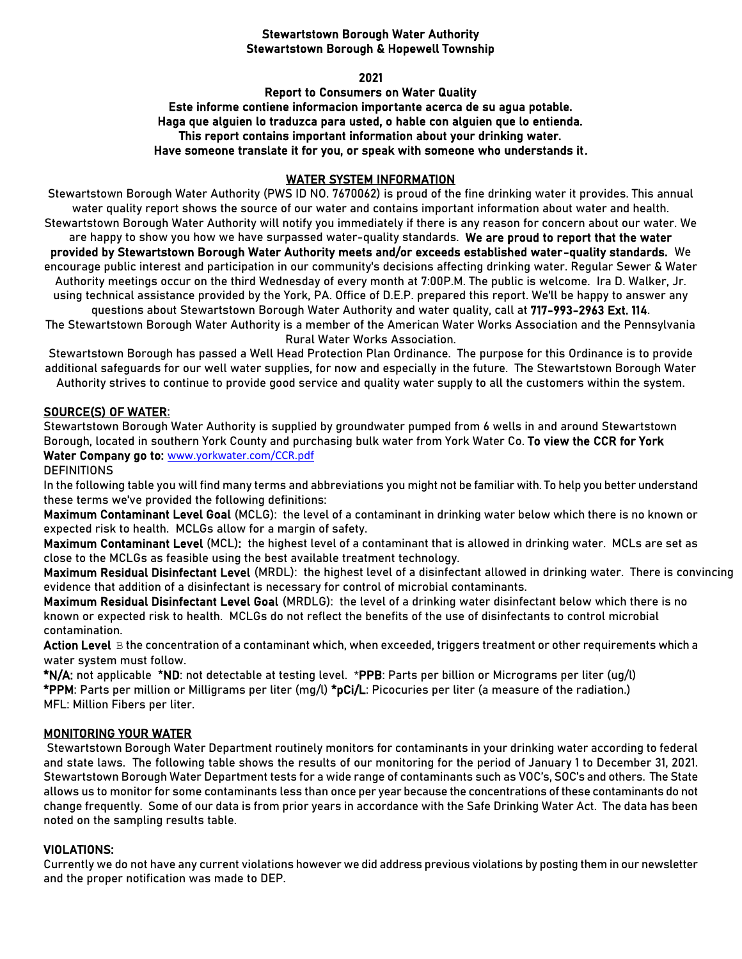## Stewartstown Borough Water Authority Stewartstown Borough & Hopewell Township

2021

Report to Consumers on Water Quality Este informe contiene informacion importante acerca de su agua potable. Haga que alguien lo traduzca para usted, o hable con alguien que lo entienda. This report contains important information about your drinking water. Have someone translate it for you, or speak with someone who understands it.

### WATER SYSTEM INFORMATION

Stewartstown Borough Water Authority (PWS ID NO. 7670062) is proud of the fine drinking water it provides. This annual water quality report shows the source of our water and contains important information about water and health. Stewartstown Borough Water Authority will notify you immediately if there is any reason for concern about our water. We are happy to show you how we have surpassed water-quality standards. We are proud to report that the water provided by Stewartstown Borough Water Authority meets and/or exceeds established water-quality standards. We encourage public interest and participation in our community's decisions affecting drinking water. Regular Sewer & Water Authority meetings occur on the third Wednesday of every month at 7:00P.M. The public is welcome. Ira D. Walker, Jr. using technical assistance provided by the York, PA. Office of D.E.P. prepared this report. We'll be happy to answer any questions about Stewartstown Borough Water Authority and water quality, call at 717-993-2963 Ext. 114. The Stewartstown Borough Water Authority is a member of the American Water Works Association and the Pennsylvania Rural Water Works Association.

Stewartstown Borough has passed a Well Head Protection Plan Ordinance. The purpose for this Ordinance is to provide additional safeguards for our well water supplies, for now and especially in the future. The Stewartstown Borough Water Authority strives to continue to provide good service and quality water supply to all the customers within the system.

# SOURCE(S) OF WATER:

Stewartstown Borough Water Authority is supplied by groundwater pumped from 6 wells in and around Stewartstown Borough, located in southern York County and purchasing bulk water from York Water Co. To view the CCR for York Water Company go to: [www.yorkwater.com/CCR.pdf](http://www.yorkwater.com/CCR.pdf)

**DEFINITIONS** 

In the following table you will find many terms and abbreviations you might not be familiar with. To help you better understand these terms we've provided the following definitions:

Maximum Contaminant Level Goal (MCLG): the level of a contaminant in drinking water below which there is no known or expected risk to health. MCLGs allow for a margin of safety.

Maximum Contaminant Level (MCL): the highest level of a contaminant that is allowed in drinking water. MCLs are set as close to the MCLGs as feasible using the best available treatment technology.

Maximum Residual Disinfectant Level (MRDL): the highest level of a disinfectant allowed in drinking water. There is convincing evidence that addition of a disinfectant is necessary for control of microbial contaminants.

Maximum Residual Disinfectant Level Goal (MRDLG): the level of a drinking water disinfectant below which there is no known or expected risk to health. MCLGs do not reflect the benefits of the use of disinfectants to control microbial contamination.

Action Level B the concentration of a contaminant which, when exceeded, triggers treatment or other requirements which a water system must follow.

\*N/A: not applicable \*ND: not detectable at testing level. \*PPB: Parts per billion or Micrograms per liter (ug/l) \*PPM: Parts per million or Milligrams per liter (mg/l) \*pCi/L: Picocuries per liter (a measure of the radiation.) MFL: Million Fibers per liter.

### MONITORING YOUR WATER

Stewartstown Borough Water Department routinely monitors for contaminants in your drinking water according to federal and state laws. The following table shows the results of our monitoring for the period of January 1 to December 31, 2021. Stewartstown Borough Water Department tests for a wide range of contaminants such as VOC's, SOC's and others. The State allows us to monitor for some contaminants less than once per year because the concentrations of these contaminants do not change frequently. Some of our data is from prior years in accordance with the Safe Drinking Water Act. The data has been noted on the sampling results table.

### VIOLATIONS:

Currently we do not have any current violations however we did address previous violations by posting them in our newsletter and the proper notification was made to DEP.